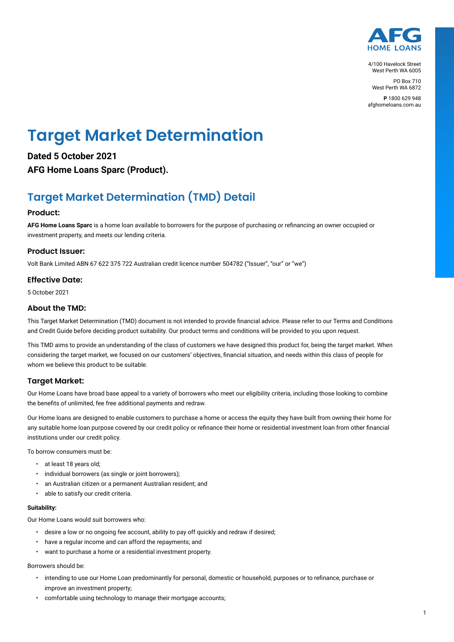

4/100 Havelock Street West Perth WA 6005

PO Box 710 West Perth WA 6872

**P** 1800 629 948 afghomeloans.com.au

# **Target Market Determination**

**Dated 5 October 2021 AFG Home Loans Sparc (Product).**

## **Target Market Determination (TMD) Detail**

### **Product:**

**AFG Home Loans Sparc** is a home loan available to borrowers for the purpose of purchasing or refinancing an owner occupied or investment property, and meets our lending criteria.

### **Product Issuer:**

Volt Bank Limited ABN 67 622 375 722 Australian credit licence number 504782 ("Issuer", "our" or "we")

### **Effective Date:**

5 October 2021

### **About the TMD:**

This Target Market Determination (TMD) document is not intended to provide financial advice. Please refer to our Terms and Conditions and Credit Guide before deciding product suitability. Our product terms and conditions will be provided to you upon request.

This TMD aims to provide an understanding of the class of customers we have designed this product for, being the target market. When considering the target market, we focused on our customers' objectives, financial situation, and needs within this class of people for whom we believe this product to be suitable.

### **Target Market:**

Our Home Loans have broad base appeal to a variety of borrowers who meet our eligibility criteria, including those looking to combine the benefits of unlimited, fee free additional payments and redraw.

Our Home loans are designed to enable customers to purchase a home or access the equity they have built from owning their home for any suitable home loan purpose covered by our credit policy or refinance their home or residential investment loan from other financial institutions under our credit policy.

To borrow consumers must be:

- at least 18 years old;
- individual borrowers (as single or joint borrowers);
- an Australian citizen or a permanent Australian resident; and
- able to satisfy our credit criteria.

### **Suitability:**

Our Home Loans would suit borrowers who:

- desire a low or no ongoing fee account, ability to pay off quickly and redraw if desired;
- have a regular income and can afford the repayments; and
- want to purchase a home or a residential investment property.

Borrowers should be:

- intending to use our Home Loan predominantly for personal, domestic or household, purposes or to refinance, purchase or improve an investment property;
- comfortable using technology to manage their mortgage accounts;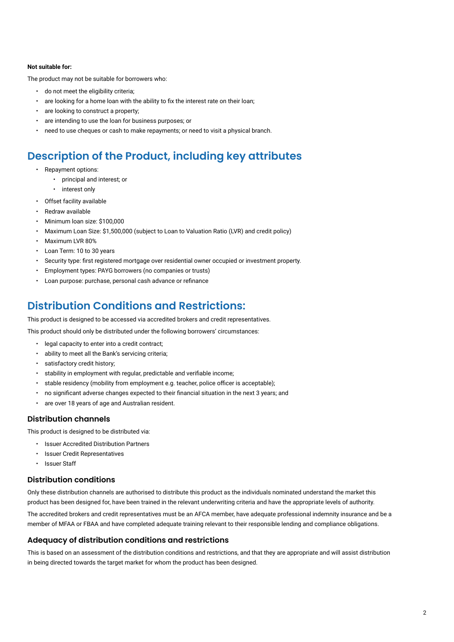#### **Not suitable for:**

The product may not be suitable for borrowers who:

- do not meet the eligibility criteria;
- are looking for a home loan with the ability to fix the interest rate on their loan;
- are looking to construct a property;
- are intending to use the loan for business purposes; or
- need to use cheques or cash to make repayments; or need to visit a physical branch.

### **Description of the Product, including key attributes**

- Repayment options:
	- principal and interest; or
	- interest only
- Offset facility available
- Redraw available
- Minimum loan size: \$100,000
- Maximum Loan Size: \$1,500,000 (subject to Loan to Valuation Ratio (LVR) and credit policy)
- Maximum LVR 80%
- Loan Term: 10 to 30 years
- Security type: first registered mortgage over residential owner occupied or investment property.
- Employment types: PAYG borrowers (no companies or trusts)
- Loan purpose: purchase, personal cash advance or refinance

### **Distribution Conditions and Restrictions:**

This product is designed to be accessed via accredited brokers and credit representatives.

This product should only be distributed under the following borrowers' circumstances:

- legal capacity to enter into a credit contract;
- ability to meet all the Bank's servicing criteria;
- satisfactory credit history;
- stability in employment with regular, predictable and verifiable income;
- stable residency (mobility from employment e.g. teacher, police officer is acceptable);
- no significant adverse changes expected to their financial situation in the next 3 years; and
- are over 18 years of age and Australian resident.

### **Distribution channels**

This product is designed to be distributed via:

- Issuer Accredited Distribution Partners
- Issuer Credit Representatives
- Issuer Staff

### **Distribution conditions**

Only these distribution channels are authorised to distribute this product as the individuals nominated understand the market this product has been designed for, have been trained in the relevant underwriting criteria and have the appropriate levels of authority.

The accredited brokers and credit representatives must be an AFCA member, have adequate professional indemnity insurance and be a member of MFAA or FBAA and have completed adequate training relevant to their responsible lending and compliance obligations.

### **Adequacy of distribution conditions and restrictions**

This is based on an assessment of the distribution conditions and restrictions, and that they are appropriate and will assist distribution in being directed towards the target market for whom the product has been designed.